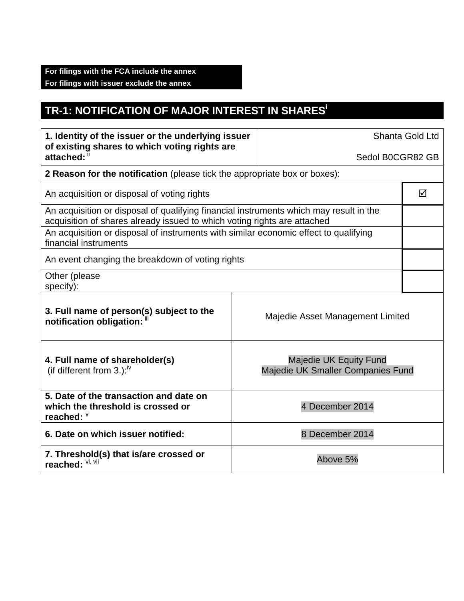## **TR-1: NOTIFICATION OF MAJOR INTEREST IN SHARESi**

| 1. Identity of the issuer or the underlying issuer<br>of existing shares to which voting rights are<br>attached: ii                                                |  | Shanta Gold Ltd                                             |   |  |
|--------------------------------------------------------------------------------------------------------------------------------------------------------------------|--|-------------------------------------------------------------|---|--|
|                                                                                                                                                                    |  | Sedol B0CGR82 GB                                            |   |  |
| <b>2 Reason for the notification</b> (please tick the appropriate box or boxes):                                                                                   |  |                                                             |   |  |
| An acquisition or disposal of voting rights                                                                                                                        |  |                                                             | ☑ |  |
| An acquisition or disposal of qualifying financial instruments which may result in the<br>acquisition of shares already issued to which voting rights are attached |  |                                                             |   |  |
| An acquisition or disposal of instruments with similar economic effect to qualifying<br>financial instruments                                                      |  |                                                             |   |  |
| An event changing the breakdown of voting rights                                                                                                                   |  |                                                             |   |  |
| Other (please<br>specify):                                                                                                                                         |  |                                                             |   |  |
| 3. Full name of person(s) subject to the<br>notification obligation: "                                                                                             |  | Majedie Asset Management Limited                            |   |  |
| 4. Full name of shareholder(s)<br>(if different from 3.): $\sqrt{v}$                                                                                               |  | Majedie UK Equity Fund<br>Majedie UK Smaller Companies Fund |   |  |
| 5. Date of the transaction and date on<br>which the threshold is crossed or<br>reached: $\degree$                                                                  |  | 4 December 2014                                             |   |  |
| 6. Date on which issuer notified:                                                                                                                                  |  | 8 December 2014                                             |   |  |
| 7. Threshold(s) that is/are crossed or<br>reached: Vi, Vii                                                                                                         |  | Above 5%                                                    |   |  |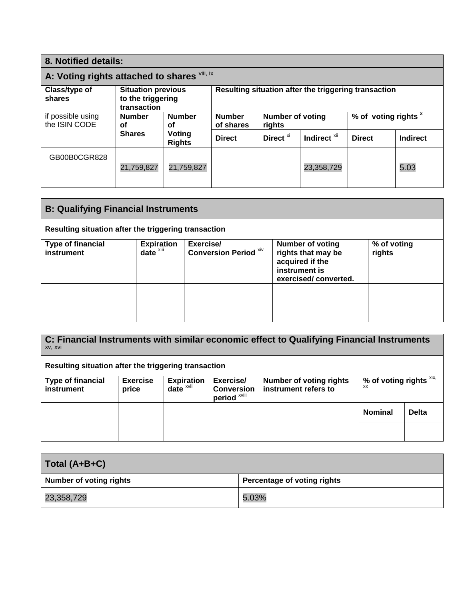| 8. Notified details:                         |                                                               |                            |                                                      |                      |                                 |               |                 |
|----------------------------------------------|---------------------------------------------------------------|----------------------------|------------------------------------------------------|----------------------|---------------------------------|---------------|-----------------|
| A: Voting rights attached to shares Vili, ix |                                                               |                            |                                                      |                      |                                 |               |                 |
| Class/type of<br>shares                      | <b>Situation previous</b><br>to the triggering<br>transaction |                            | Resulting situation after the triggering transaction |                      |                                 |               |                 |
| if possible using<br>the ISIN CODE           | <b>Number</b><br><b>Number</b><br>οf<br>οf                    | <b>Number</b><br>of shares | <b>Number of voting</b><br>rights                    |                      | % of voting rights <sup>x</sup> |               |                 |
|                                              | <b>Shares</b>                                                 | Voting<br><b>Rights</b>    | <b>Direct</b>                                        | Direct <sup>xi</sup> | Indirect <sup>xii</sup>         | <b>Direct</b> | <b>Indirect</b> |
| GB00B0CGR828                                 |                                                               |                            |                                                      |                      |                                 |               |                 |
|                                              | 21,759,827                                                    | 21,759,827                 |                                                      |                      | 23,358,729                      |               | 5.03            |
|                                              |                                                               |                            |                                                      |                      |                                 |               |                 |

| <b>B: Qualifying Financial Instruments</b>           |                                               |                                           |                                                                                                           |                       |
|------------------------------------------------------|-----------------------------------------------|-------------------------------------------|-----------------------------------------------------------------------------------------------------------|-----------------------|
| Resulting situation after the triggering transaction |                                               |                                           |                                                                                                           |                       |
| <b>Type of financial</b><br>instrument               | <b>Expiration</b><br>$date^{\overline{x}iii}$ | Exercise/<br><b>Conversion Period Xiv</b> | <b>Number of voting</b><br>rights that may be<br>acquired if the<br>instrument is<br>exercised/converted. | % of voting<br>rights |
|                                                      |                                               |                                           |                                                                                                           |                       |

**C: Financial Instruments with similar economic effect to Qualifying Financial Instruments** xv, xvi **Resulting situation after the triggering transaction Type of financial instrument Exercise price Expiration date** xvii **Exercise/ Conversion**  period<sup>xviii</sup> **Number of voting rights instrument refers to % of voting rights** xix, xx **Nominal Delta**

| Total (A+B+C)                  |                             |  |  |
|--------------------------------|-----------------------------|--|--|
| <b>Number of voting rights</b> | Percentage of voting rights |  |  |
| 23,358,729                     | 5.03%                       |  |  |